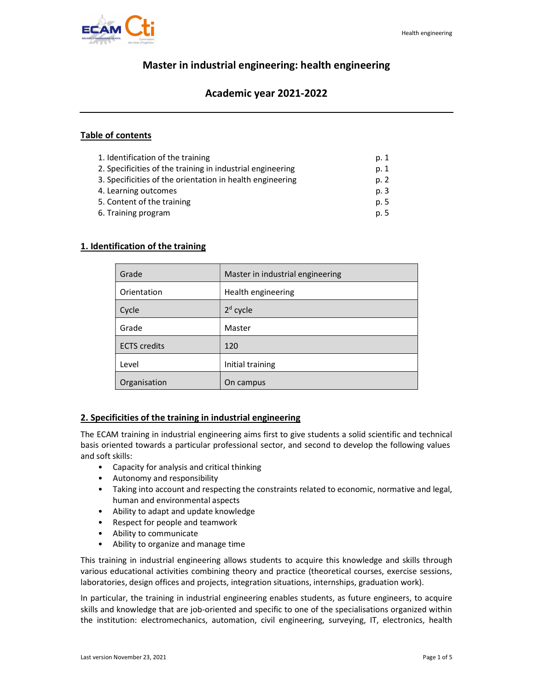

# Master in industrial engineering: health engineering

# Academic year 2021-2022

### Table of contents

| 1. Identification of the training                          | p. 1 |
|------------------------------------------------------------|------|
| 2. Specificities of the training in industrial engineering | p. 1 |
| 3. Specificities of the orientation in health engineering  | p. 2 |
| 4. Learning outcomes                                       | p. 3 |
| 5. Content of the training                                 | p. 5 |
| 6. Training program                                        | p. 5 |

## 1. Identification of the training

| Grade               | Master in industrial engineering |
|---------------------|----------------------------------|
| Orientation         | Health engineering               |
| Cycle               | $2d$ cycle                       |
| Grade               | Master                           |
| <b>ECTS</b> credits | 120                              |
| Level               | Initial training                 |
| Organisation        | On campus                        |

# 2. Specificities of the training in industrial engineering

The ECAM training in industrial engineering aims first to give students a solid scientific and technical basis oriented towards a particular professional sector, and second to develop the following values and soft skills:

- Capacity for analysis and critical thinking
- Autonomy and responsibility
- Taking into account and respecting the constraints related to economic, normative and legal, human and environmental aspects
- Ability to adapt and update knowledge
- Respect for people and teamwork
- Ability to communicate
- Ability to organize and manage time

This training in industrial engineering allows students to acquire this knowledge and skills through various educational activities combining theory and practice (theoretical courses, exercise sessions, laboratories, design offices and projects, integration situations, internships, graduation work).

In particular, the training in industrial engineering enables students, as future engineers, to acquire skills and knowledge that are job-oriented and specific to one of the specialisations organized within the institution: electromechanics, automation, civil engineering, surveying, IT, electronics, health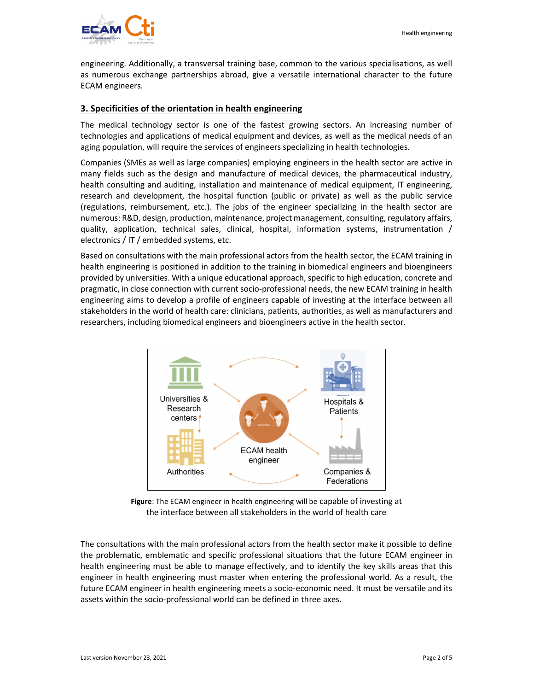engineering. Additionally, a transversal training base, common to the various specialisations, as well as numerous exchange partnerships abroad, give a versatile international character to the future ECAM engineers.

#### 3. Specificities of the orientation in health engineering

The medical technology sector is one of the fastest growing sectors. An increasing number of technologies and applications of medical equipment and devices, as well as the medical needs of an aging population, will require the services of engineers specializing in health technologies.

Companies (SMEs as well as large companies) employing engineers in the health sector are active in many fields such as the design and manufacture of medical devices, the pharmaceutical industry, health consulting and auditing, installation and maintenance of medical equipment, IT engineering, research and development, the hospital function (public or private) as well as the public service (regulations, reimbursement, etc.). The jobs of the engineer specializing in the health sector are numerous: R&D, design, production, maintenance, project management, consulting, regulatory affairs, quality, application, technical sales, clinical, hospital, information systems, instrumentation / electronics / IT / embedded systems, etc.

Based on consultations with the main professional actors from the health sector, the ECAM training in health engineering is positioned in addition to the training in biomedical engineers and bioengineers provided by universities. With a unique educational approach, specific to high education, concrete and pragmatic, in close connection with current socio-professional needs, the new ECAM training in health engineering aims to develop a profile of engineers capable of investing at the interface between all stakeholders in the world of health care: clinicians, patients, authorities, as well as manufacturers and researchers, including biomedical engineers and bioengineers active in the health sector.





The consultations with the main professional actors from the health sector make it possible to define the problematic, emblematic and specific professional situations that the future ECAM engineer in health engineering must be able to manage effectively, and to identify the key skills areas that this engineer in health engineering must master when entering the professional world. As a result, the future ECAM engineer in health engineering meets a socio-economic need. It must be versatile and its assets within the socio-professional world can be defined in three axes.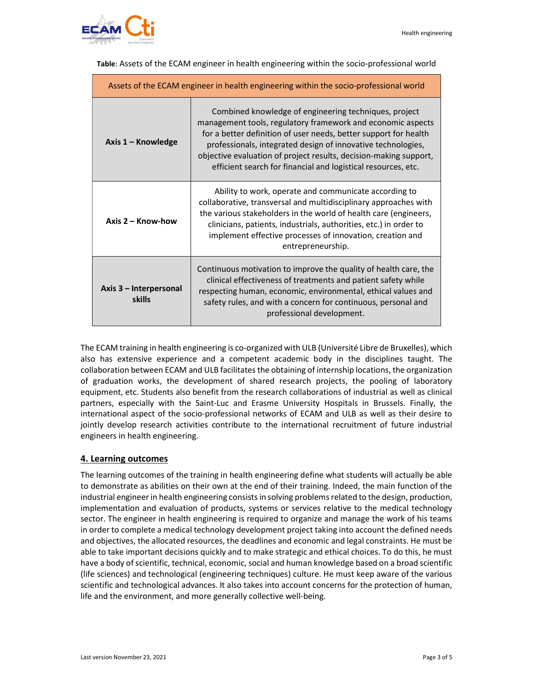

| Assets of the ECAM engineer in health engineering within the socio-professional world |                                                                                                                                                                                                                                                                                                                                                                                                |  |
|---------------------------------------------------------------------------------------|------------------------------------------------------------------------------------------------------------------------------------------------------------------------------------------------------------------------------------------------------------------------------------------------------------------------------------------------------------------------------------------------|--|
| Axis 1 - Knowledge                                                                    | Combined knowledge of engineering techniques, project<br>management tools, regulatory framework and economic aspects<br>for a better definition of user needs, better support for health<br>professionals, integrated design of innovative technologies,<br>objective evaluation of project results, decision-making support,<br>efficient search for financial and logistical resources, etc. |  |
| Axis $2 -$ Know-how                                                                   | Ability to work, operate and communicate according to<br>collaborative, transversal and multidisciplinary approaches with<br>the various stakeholders in the world of health care (engineers,<br>clinicians, patients, industrials, authorities, etc.) in order to<br>implement effective processes of innovation, creation and<br>entrepreneurship.                                           |  |
| Axis 3 - Interpersonal<br>skills                                                      | Continuous motivation to improve the quality of health care, the<br>clinical effectiveness of treatments and patient safety while<br>respecting human, economic, environmental, ethical values and<br>safety rules, and with a concern for continuous, personal and<br>professional development.                                                                                               |  |

Table: Assets of the ECAM engineer in health engineering within the socio-professional world

The ECAM training in health engineering is co-organized with ULB (Université Libre de Bruxelles), which also has extensive experience and a competent academic body in the disciplines taught. The collaboration between ECAM and ULB facilitates the obtaining of internship locations, the organization of graduation works, the development of shared research projects, the pooling of laboratory equipment, etc. Students also benefit from the research collaborations of industrial as well as clinical partners, especially with the Saint-Luc and Erasme University Hospitals in Brussels. Finally, the international aspect of the socio-professional networks of ECAM and ULB as well as their desire to jointly develop research activities contribute to the international recruitment of future industrial engineers in health engineering.

#### 4. Learning outcomes

The learning outcomes of the training in health engineering define what students will actually be able to demonstrate as abilities on their own at the end of their training. Indeed, the main function of the industrial engineer in health engineering consists in solving problems related to the design, production, implementation and evaluation of products, systems or services relative to the medical technology sector. The engineer in health engineering is required to organize and manage the work of his teams in order to complete a medical technology development project taking into account the defined needs and objectives, the allocated resources, the deadlines and economic and legal constraints. He must be able to take important decisions quickly and to make strategic and ethical choices. To do this, he must have a body of scientific, technical, economic, social and human knowledge based on a broad scientific (life sciences) and technological (engineering techniques) culture. He must keep aware of the various scientific and technological advances. It also takes into account concerns for the protection of human, life and the environment, and more generally collective well-being.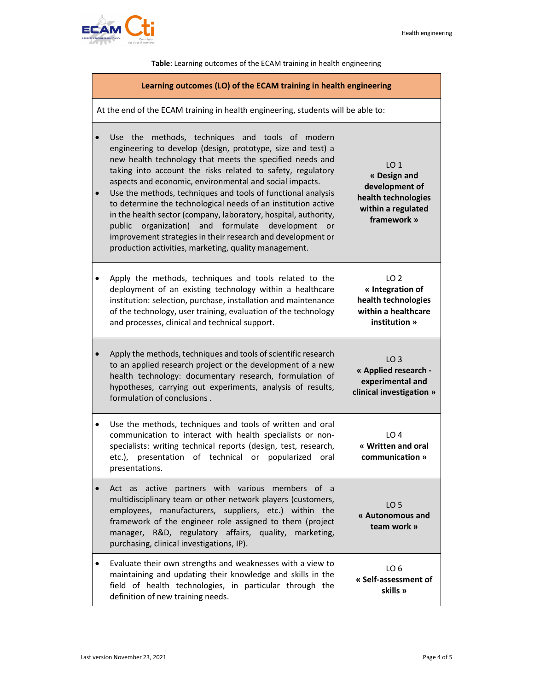LO 1 « Design and development of health technologies within a regulated framework »

LO 2 « Integration of health technologies within a healthcare institution »

LO 3 « Applied research experimental and clinical investigation »

LO 4 « Written and oral communication »

LO 5 « Autonomous and team work »



Table: Learning outcomes of the ECAM training in health engineering

#### Learning outcomes (LO) of the ECAM training in health engineering

At the end of the ECAM training in health engineering, students will be able to:

- Use the methods, techniques and tools of modern engineering to develop (design, prototype, size and test) a new health technology that meets the specified needs and taking into account the risks related to safety, regulatory aspects and economic, environmental and social impacts.
- Use the methods, techniques and tools of functional analysis to determine the technological needs of an institution active in the health sector (company, laboratory, hospital, authority, public organization) and formulate development or improvement strategies in their research and development or production activities, marketing, quality management.
- Apply the methods, techniques and tools related to the deployment of an existing technology within a healthcare institution: selection, purchase, installation and maintenance of the technology, user training, evaluation of the technology and processes, clinical and technical support.
- Apply the methods, techniques and tools of scientific research to an applied research project or the development of a new health technology: documentary research, formulation of hypotheses, carrying out experiments, analysis of results, formulation of conclusions .
- Use the methods, techniques and tools of written and oral communication to interact with health specialists or nonspecialists: writing technical reports (design, test, research, etc.), presentation of technical or popularized oral presentations.
- Act as active partners with various members of a multidisciplinary team or other network players (customers, employees, manufacturers, suppliers, etc.) within the framework of the engineer role assigned to them (project manager, R&D, regulatory affairs, quality, marketing, purchasing, clinical investigations, IP).
- Evaluate their own strengths and weaknesses with a view to maintaining and updating their knowledge and skills in the field of health technologies, in particular through the definition of new training needs. LO 6 « Self-assessment of skills »